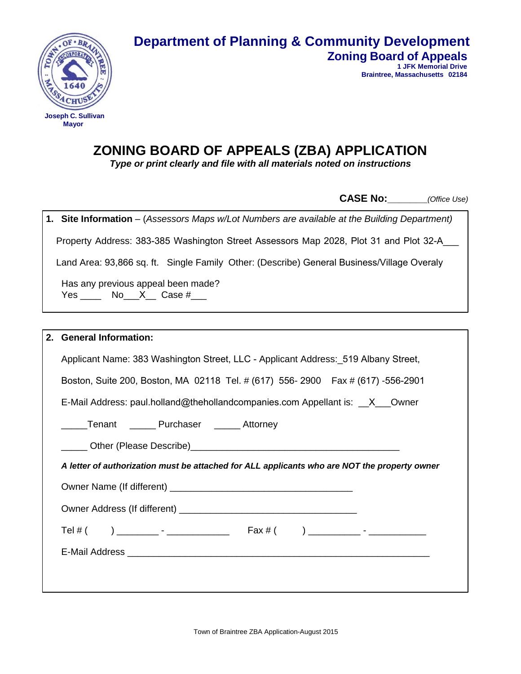

## **Department of Planning & Community Development Zoning Board of Appeals**

**1 JFK Memorial Drive Braintree, Massachusetts 02184**

# **ZONING BOARD OF APPEALS (ZBA) APPLICATION**

*Type or print clearly and file with all materials noted on instructions* 

 **CASE No:\_\_\_\_\_\_\_***(Office Use)*

|    | 1. Site Information - (Assessors Maps w/Lot Numbers are available at the Building Department) |  |  |  |  |
|----|-----------------------------------------------------------------------------------------------|--|--|--|--|
|    | Property Address: 383-385 Washington Street Assessors Map 2028, Plot 31 and Plot 32-A___      |  |  |  |  |
|    | Land Area: 93,866 sq. ft. Single Family Other: (Describe) General Business/Village Overaly    |  |  |  |  |
|    | Has any previous appeal been made?<br>Yes ________ No___X____ Case $\#$ ____                  |  |  |  |  |
|    |                                                                                               |  |  |  |  |
| 2. | <b>General Information:</b>                                                                   |  |  |  |  |
|    | Applicant Name: 383 Washington Street, LLC - Applicant Address: 519 Albany Street,            |  |  |  |  |
|    | Boston, Suite 200, Boston, MA 02118 Tel. # (617) 556-2900 Fax # (617) -556-2901               |  |  |  |  |
|    | E-Mail Address: paul.holland@thehollandcompanies.com Appellant is: __X__Owner                 |  |  |  |  |
|    | Tenant ______ Purchaser ______ Attorney                                                       |  |  |  |  |
|    |                                                                                               |  |  |  |  |
|    | A letter of authorization must be attached for ALL applicants who are NOT the property owner  |  |  |  |  |
|    |                                                                                               |  |  |  |  |
|    |                                                                                               |  |  |  |  |
|    |                                                                                               |  |  |  |  |
|    |                                                                                               |  |  |  |  |
|    |                                                                                               |  |  |  |  |
|    |                                                                                               |  |  |  |  |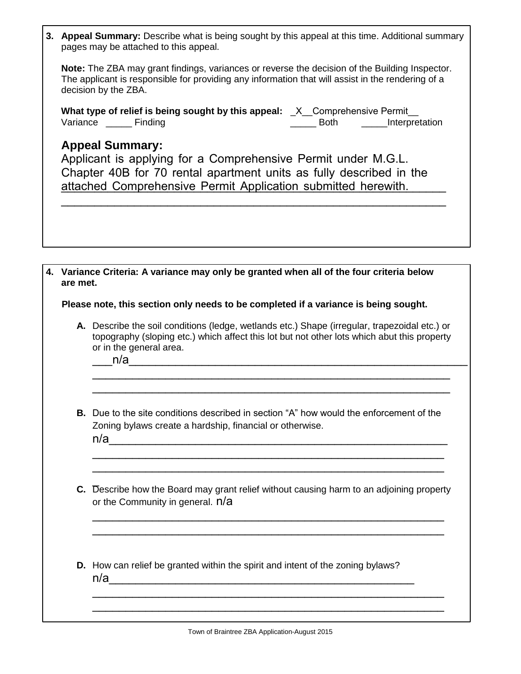| 3. Appeal Summary: Describe what is being sought by this appeal at this time. Additional summary |
|--------------------------------------------------------------------------------------------------|
| pages may be attached to this appeal.                                                            |

**Note:** The ZBA may grant findings, variances or reverse the decision of the Building Inspector. The applicant is responsible for providing any information that will assist in the rendering of a decision by the ZBA.

|          |                | What type of relief is being sought by this appeal: _X_Comprehensive Permit_ |      |                |
|----------|----------------|------------------------------------------------------------------------------|------|----------------|
| Variance | <b>Finding</b> |                                                                              | Both | Interpretation |

### **Appeal Summary:**

| Applicant is applying for a Comprehensive Permit under M.G.L.       |
|---------------------------------------------------------------------|
| Chapter 40B for 70 rental apartment units as fully described in the |
| attached Comprehensive Permit Application submitted herewith.       |

\_\_\_\_\_\_\_\_\_\_\_\_\_\_\_\_\_\_\_\_\_\_\_\_\_\_\_\_\_\_\_\_\_\_\_\_\_\_\_\_\_\_\_\_\_\_\_\_\_\_\_\_\_\_\_\_\_\_

**4. Variance Criteria: A variance may only be granted when all of the four criteria below are met.**

**Please note, this section only needs to be completed if a variance is being sought.**

**A.** Describe the soil conditions (ledge, wetlands etc.) Shape (irregular, trapezoidal etc.) or topography (sloping etc.) which affect this lot but not other lots which abut this property or in the general area.

\_\_\_\_\_\_\_\_\_\_\_\_\_\_\_\_\_\_\_\_\_\_\_\_\_\_\_\_\_\_\_\_\_\_\_\_\_\_\_\_\_\_\_\_\_\_\_\_\_\_\_\_\_\_ \_\_\_\_\_\_\_\_\_\_\_\_\_\_\_\_\_\_\_\_\_\_\_\_\_\_\_\_\_\_\_\_\_\_\_\_\_\_\_\_\_\_\_\_\_\_\_\_\_\_\_\_\_\_

\_\_\_n/a\_\_\_\_\_\_\_\_\_\_\_\_\_\_\_\_\_\_\_\_\_\_\_\_\_\_\_\_\_\_\_\_\_\_\_\_\_\_\_\_\_\_\_\_\_\_\_\_\_\_\_

- **B.** Due to the site conditions described in section "A" how would the enforcement of the Zoning bylaws create a hardship, financial or otherwise.  $n/a$
- $\overline{a}$ **C.** Describe how the Board may grant relief without causing harm to an adjoining property or the Community in general.  $n/a$

\_\_\_\_\_\_\_\_\_\_\_\_\_\_\_\_\_\_\_\_\_\_\_\_\_\_\_\_\_\_\_\_\_\_\_\_\_\_\_\_\_\_\_\_\_\_\_\_\_\_\_\_\_ \_\_\_\_\_\_\_\_\_\_\_\_\_\_\_\_\_\_\_\_\_\_\_\_\_\_\_\_\_\_\_\_\_\_\_\_\_\_\_\_\_\_\_\_\_\_\_\_\_\_\_\_\_

\_\_\_\_\_\_\_\_\_\_\_\_\_\_\_\_\_\_\_\_\_\_\_\_\_\_\_\_\_\_\_\_\_\_\_\_\_\_\_\_\_\_\_\_\_\_\_\_\_\_\_\_\_ \_\_\_\_\_\_\_\_\_\_\_\_\_\_\_\_\_\_\_\_\_\_\_\_\_\_\_\_\_\_\_\_\_\_\_\_\_\_\_\_\_\_\_\_\_\_\_\_\_\_\_\_\_

\_\_\_\_\_\_\_\_\_\_\_\_\_\_\_\_\_\_\_\_\_\_\_\_\_\_\_\_\_\_\_\_\_\_\_\_\_\_\_\_\_\_\_\_\_\_\_\_\_\_\_\_\_ \_\_\_\_\_\_\_\_\_\_\_\_\_\_\_\_\_\_\_\_\_\_\_\_\_\_\_\_\_\_\_\_\_\_\_\_\_\_\_\_\_\_\_\_\_\_\_\_\_\_\_\_\_

**D.** How can relief be granted within the spirit and intent of the zoning bylaws?  $n/a$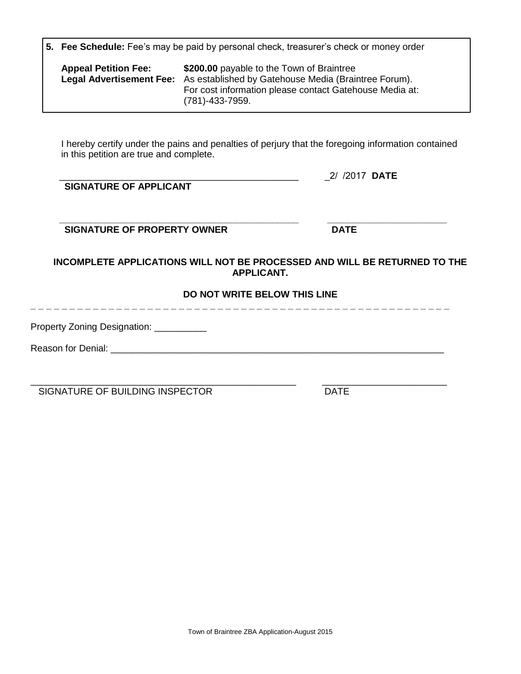|  |  |  |  |  |  | 5. Fee Schedule: Fee's may be paid by personal check, treasurer's check or money order |
|--|--|--|--|--|--|----------------------------------------------------------------------------------------|
|--|--|--|--|--|--|----------------------------------------------------------------------------------------|

| \$200.00 payable to the Town of Braintree<br><b>Appeal Petition Fee:</b><br><b>Legal Advertisement Fee:</b> As established by Gatehouse Media (Braintree Forum).<br>For cost information please contact Gatehouse Media at:<br>$(781) - 433 - 7959.$ |
|------------------------------------------------------------------------------------------------------------------------------------------------------------------------------------------------------------------------------------------------------|
|------------------------------------------------------------------------------------------------------------------------------------------------------------------------------------------------------------------------------------------------------|

I hereby certify under the pains and penalties of perjury that the foregoing information contained in this petition are true and complete.

| SIGNATURE OF APPLICANT      | 2/ /2017 <b>DATE</b> |
|-----------------------------|----------------------|
| SIGNATURE OF PROPERTY OWNER | <b>DATE</b>          |

**INCOMPLETE APPLICATIONS WILL NOT BE PROCESSED AND WILL BE RETURNED TO THE APPLICANT.** 

#### **DO NOT WRITE BELOW THIS LINE**

**\_ \_ \_ \_ \_ \_ \_ \_ \_ \_ \_ \_ \_ \_ \_ \_ \_ \_ \_ \_ \_ \_ \_ \_ \_ \_ \_ \_ \_ \_ \_ \_ \_ \_ \_ \_ \_ \_ \_ \_ \_ \_ \_ \_ \_ \_ \_ \_ \_ \_ \_ \_ \_ \_** 

Property Zoning Designation: \_\_\_\_\_\_\_\_\_\_\_

Reason for Denial: \_\_\_\_\_\_\_\_\_\_\_\_\_\_\_\_\_\_\_\_\_\_\_\_\_\_\_\_\_\_\_\_\_\_\_\_\_\_\_\_\_\_\_\_\_\_\_\_\_\_\_\_\_\_\_\_\_\_\_\_\_\_\_\_

\_\_\_\_\_\_\_\_\_\_\_\_\_\_\_\_\_\_\_\_\_\_\_\_\_\_\_\_\_\_\_\_\_\_\_\_\_\_\_\_\_\_\_\_\_\_\_\_\_\_\_ \_\_\_\_\_\_\_\_\_\_\_\_\_\_\_\_\_\_\_\_\_\_\_\_ SIGNATURE OF BUILDING INSPECTOR DATE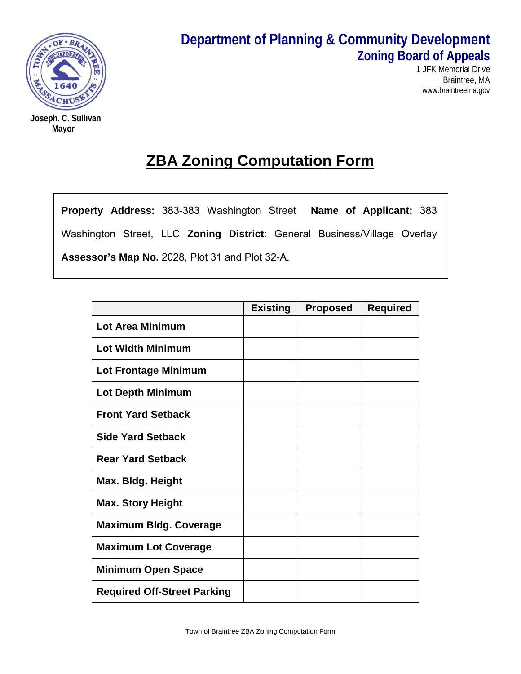

**Joseph. C. Sullivan Mayor**

# **Department of Planning & Community Development Zoning Board of Appeals**

1 JFK Memorial Drive Braintree, MA www.braintreema.gov

# **ZBA Zoning Computation Form**

**Property Address:** 383-383 Washington Street **Name of Applicant:** 383 Washington Street, LLC **Zoning District**: General Business/Village Overlay **Assessor's Map No.** 2028, Plot 31 and Plot 32-A.

|                                    | <b>Existing</b> | <b>Proposed</b> | <b>Required</b> |
|------------------------------------|-----------------|-----------------|-----------------|
| <b>Lot Area Minimum</b>            |                 |                 |                 |
| <b>Lot Width Minimum</b>           |                 |                 |                 |
| Lot Frontage Minimum               |                 |                 |                 |
| <b>Lot Depth Minimum</b>           |                 |                 |                 |
| <b>Front Yard Setback</b>          |                 |                 |                 |
| <b>Side Yard Setback</b>           |                 |                 |                 |
| <b>Rear Yard Setback</b>           |                 |                 |                 |
| Max. Bldg. Height                  |                 |                 |                 |
| <b>Max. Story Height</b>           |                 |                 |                 |
| <b>Maximum Bldg. Coverage</b>      |                 |                 |                 |
| <b>Maximum Lot Coverage</b>        |                 |                 |                 |
| <b>Minimum Open Space</b>          |                 |                 |                 |
| <b>Required Off-Street Parking</b> |                 |                 |                 |